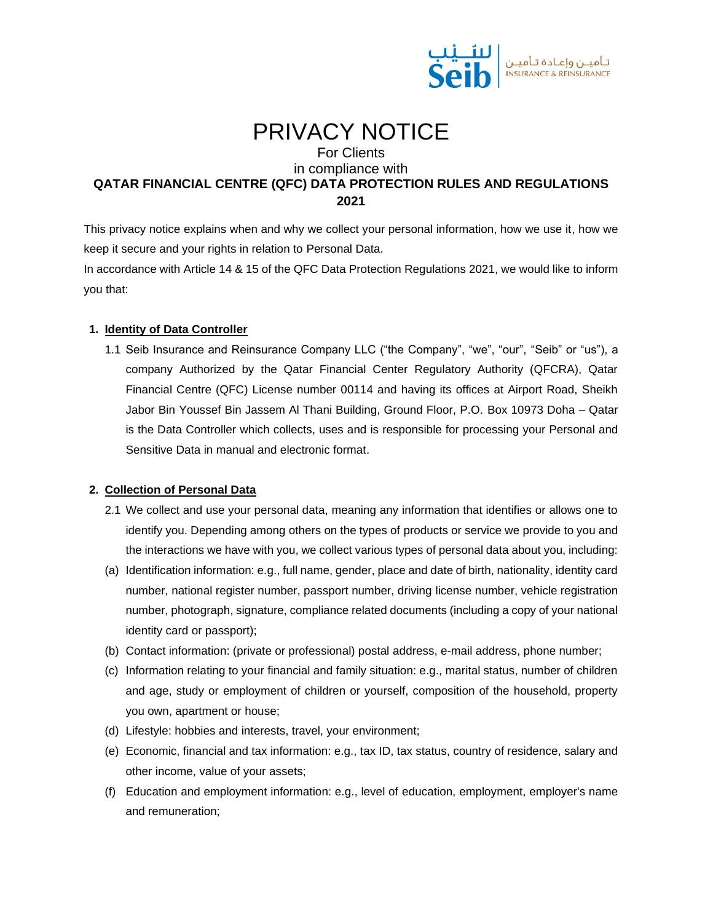

# PRIVACY NOTICE

For Clients

## in compliance with **QATAR FINANCIAL CENTRE (QFC) DATA PROTECTION RULES AND REGULATIONS 2021**

This privacy notice explains when and why we collect your personal information, how we use it, how we keep it secure and your rights in relation to Personal Data.

In accordance with Article 14 & 15 of the QFC Data Protection Regulations 2021, we would like to inform you that:

## **1. Identity of Data Controller**

1.1 Seib Insurance and Reinsurance Company LLC ("the Company", "we", "our", "Seib" or "us"), a company Authorized by the Qatar Financial Center Regulatory Authority (QFCRA), Qatar Financial Centre (QFC) License number 00114 and having its offices at Airport Road, Sheikh Jabor Bin Youssef Bin Jassem Al Thani Building, Ground Floor, P.O. Box 10973 Doha – Qatar is the Data Controller which collects, uses and is responsible for processing your Personal and Sensitive Data in manual and electronic format.

## **2. Collection of Personal Data**

- 2.1 We collect and use your personal data, meaning any information that identifies or allows one to identify you. Depending among others on the types of products or service we provide to you and the interactions we have with you, we collect various types of personal data about you, including:
- (a) Identification information: e.g., full name, gender, place and date of birth, nationality, identity card number, national register number, passport number, driving license number, vehicle registration number, photograph, signature, compliance related documents (including a copy of your national identity card or passport);
- (b) Contact information: (private or professional) postal address, e-mail address, phone number;
- (c) Information relating to your financial and family situation: e.g., marital status, number of children and age, study or employment of children or yourself, composition of the household, property you own, apartment or house;
- (d) Lifestyle: hobbies and interests, travel, your environment;
- (e) Economic, financial and tax information: e.g., tax ID, tax status, country of residence, salary and other income, value of your assets;
- (f) Education and employment information: e.g., level of education, employment, employer's name and remuneration;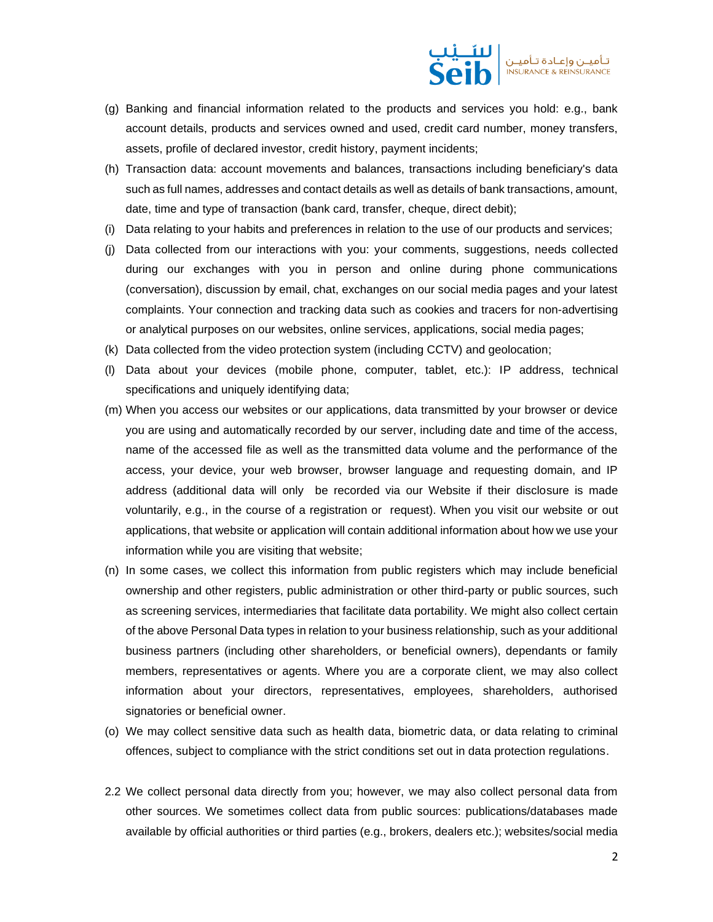

- (g) Banking and financial information related to the products and services you hold: e.g., bank account details, products and services owned and used, credit card number, money transfers, assets, profile of declared investor, credit history, payment incidents;
- (h) Transaction data: account movements and balances, transactions including beneficiary's data such as full names, addresses and contact details as well as details of bank transactions, amount, date, time and type of transaction (bank card, transfer, cheque, direct debit);
- (i) Data relating to your habits and preferences in relation to the use of our products and services;
- (j) Data collected from our interactions with you: your comments, suggestions, needs collected during our exchanges with you in person and online during phone communications (conversation), discussion by email, chat, exchanges on our social media pages and your latest complaints. Your connection and tracking data such as cookies and tracers for non-advertising or analytical purposes on our websites, online services, applications, social media pages;
- (k) Data collected from the video protection system (including CCTV) and geolocation;
- (l) Data about your devices (mobile phone, computer, tablet, etc.): IP address, technical specifications and uniquely identifying data;
- (m) When you access our websites or our applications, data transmitted by your browser or device you are using and automatically recorded by our server, including date and time of the access, name of the accessed file as well as the transmitted data volume and the performance of the access, your device, your web browser, browser language and requesting domain, and IP address (additional data will only be recorded via our Website if their disclosure is made voluntarily, e.g., in the course of a registration or request). When you visit our website or out applications, that website or application will contain additional information about how we use your information while you are visiting that website;
- (n) In some cases, we collect this information from public registers which may include beneficial ownership and other registers, public administration or other third-party or public sources, such as screening services, intermediaries that facilitate data portability. We might also collect certain of the above Personal Data types in relation to your business relationship, such as your additional business partners (including other shareholders, or beneficial owners), dependants or family members, representatives or agents. Where you are a corporate client, we may also collect information about your directors, representatives, employees, shareholders, authorised signatories or beneficial owner.
- (o) We may collect sensitive data such as health data, biometric data, or data relating to criminal offences, subject to compliance with the strict conditions set out in data protection regulations.
- 2.2 We collect personal data directly from you; however, we may also collect personal data from other sources. We sometimes collect data from public sources: publications/databases made available by official authorities or third parties (e.g., brokers, dealers etc.); websites/social media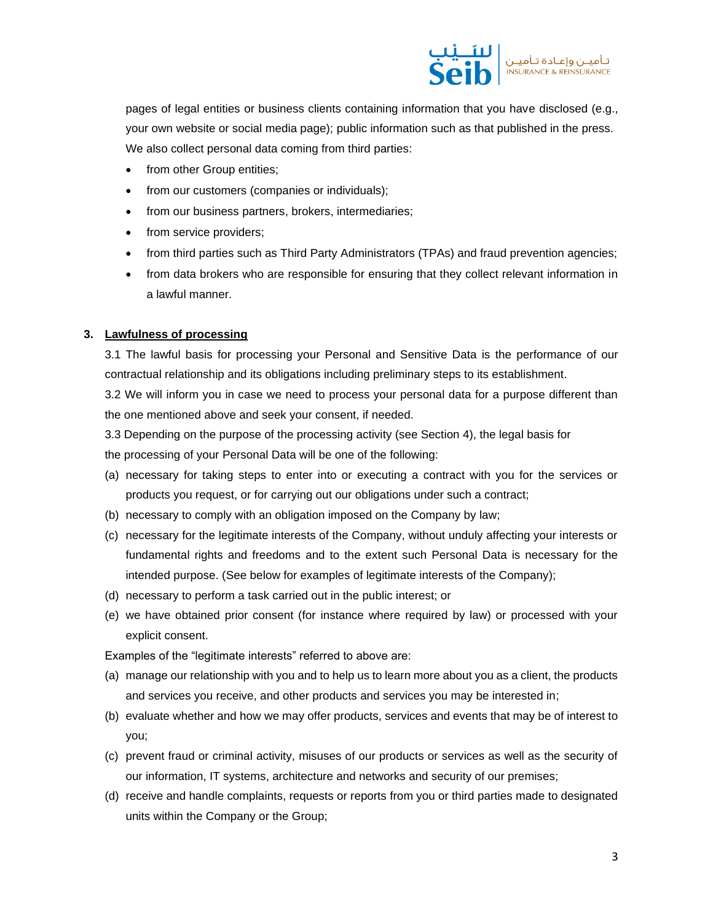

pages of legal entities or business clients containing information that you have disclosed (e.g., your own website or social media page); public information such as that published in the press. We also collect personal data coming from third parties:

- from other Group entities;
- from our customers (companies or individuals);
- from our business partners, brokers, intermediaries;
- from service providers;
- from third parties such as Third Party Administrators (TPAs) and fraud prevention agencies;
- from data brokers who are responsible for ensuring that they collect relevant information in a lawful manner.

#### **3. Lawfulness of processing**

3.1 The lawful basis for processing your Personal and Sensitive Data is the performance of our contractual relationship and its obligations including preliminary steps to its establishment.

3.2 We will inform you in case we need to process your personal data for a purpose different than the one mentioned above and seek your consent, if needed.

3.3 Depending on the purpose of the processing activity (see Section 4), the legal basis for

the processing of your Personal Data will be one of the following:

- (a) necessary for taking steps to enter into or executing a contract with you for the services or products you request, or for carrying out our obligations under such a contract;
- (b) necessary to comply with an obligation imposed on the Company by law;
- (c) necessary for the legitimate interests of the Company, without unduly affecting your interests or fundamental rights and freedoms and to the extent such Personal Data is necessary for the intended purpose. (See below for examples of legitimate interests of the Company);
- (d) necessary to perform a task carried out in the public interest; or
- (e) we have obtained prior consent (for instance where required by law) or processed with your explicit consent.

Examples of the "legitimate interests" referred to above are:

- (a) manage our relationship with you and to help us to learn more about you as a client, the products and services you receive, and other products and services you may be interested in;
- (b) evaluate whether and how we may offer products, services and events that may be of interest to you;
- (c) prevent fraud or criminal activity, misuses of our products or services as well as the security of our information, IT systems, architecture and networks and security of our premises;
- (d) receive and handle complaints, requests or reports from you or third parties made to designated units within the Company or the Group;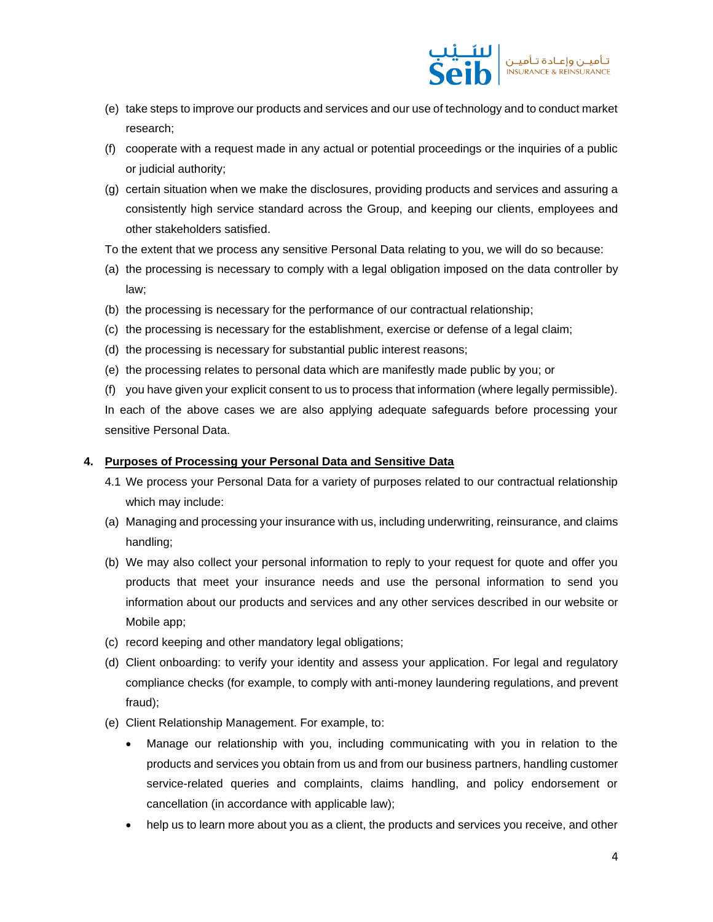

- (e) take steps to improve our products and services and our use of technology and to conduct market research;
- (f) cooperate with a request made in any actual or potential proceedings or the inquiries of a public or judicial authority;
- (g) certain situation when we make the disclosures, providing products and services and assuring a consistently high service standard across the Group, and keeping our clients, employees and other stakeholders satisfied.
- To the extent that we process any sensitive Personal Data relating to you, we will do so because:
- (a) the processing is necessary to comply with a legal obligation imposed on the data controller by law;
- (b) the processing is necessary for the performance of our contractual relationship;
- (c) the processing is necessary for the establishment, exercise or defense of a legal claim;
- (d) the processing is necessary for substantial public interest reasons;
- (e) the processing relates to personal data which are manifestly made public by you; or
- (f) you have given your explicit consent to us to process that information (where legally permissible).

In each of the above cases we are also applying adequate safeguards before processing your sensitive Personal Data.

## **4. Purposes of Processing your Personal Data and Sensitive Data**

- 4.1 We process your Personal Data for a variety of purposes related to our contractual relationship which may include:
- (a) Managing and processing your insurance with us, including underwriting, reinsurance, and claims handling;
- (b) We may also collect your personal information to reply to your request for quote and offer you products that meet your insurance needs and use the personal information to send you information about our products and services and any other services described in our website or Mobile app;
- (c) record keeping and other mandatory legal obligations;
- (d) Client onboarding: to verify your identity and assess your application. For legal and regulatory compliance checks (for example, to comply with anti-money laundering regulations, and prevent fraud);
- (e) Client Relationship Management. For example, to:
	- Manage our relationship with you, including communicating with you in relation to the products and services you obtain from us and from our business partners, handling customer service-related queries and complaints, claims handling, and policy endorsement or cancellation (in accordance with applicable law);
	- help us to learn more about you as a client, the products and services you receive, and other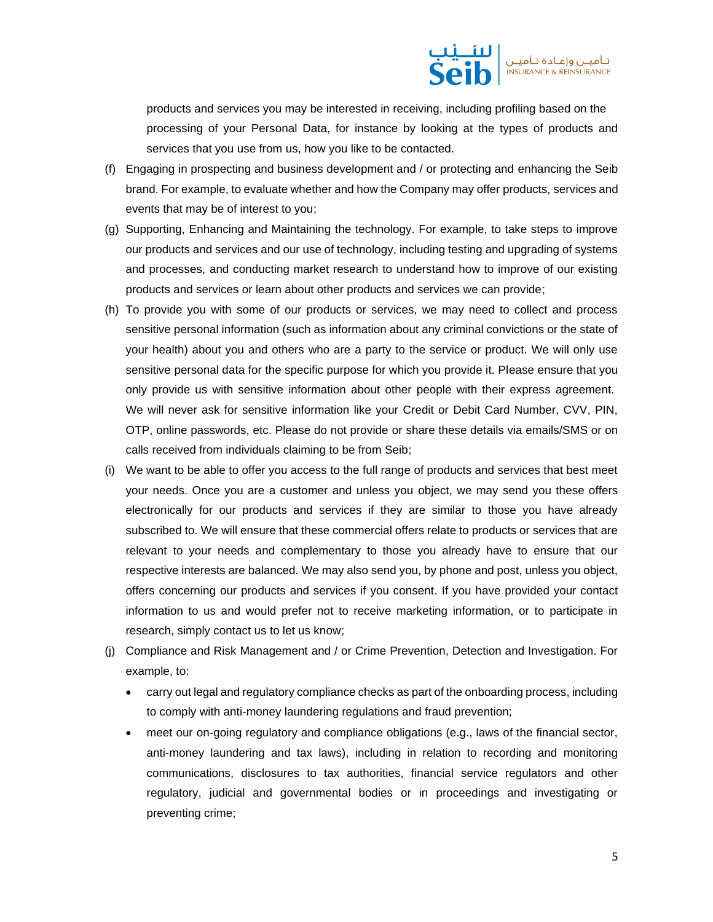

products and services you may be interested in receiving, including profiling based on the processing of your Personal Data, for instance by looking at the types of products and services that you use from us, how you like to be contacted.

- (f) Engaging in prospecting and business development and / or protecting and enhancing the Seib brand. For example, to evaluate whether and how the Company may offer products, services and events that may be of interest to you;
- (g) Supporting, Enhancing and Maintaining the technology. For example, to take steps to improve our products and services and our use of technology, including testing and upgrading of systems and processes, and conducting market research to understand how to improve of our existing products and services or learn about other products and services we can provide;
- (h) To provide you with some of our products or services, we may need to collect and process sensitive personal information (such as information about any criminal convictions or the state of your health) about you and others who are a party to the service or product. We will only use sensitive personal data for the specific purpose for which you provide it. Please ensure that you only provide us with sensitive information about other people with their express agreement. We will never ask for sensitive information like your Credit or Debit Card Number, CVV, PIN, OTP, online passwords, etc. Please do not provide or share these details via emails/SMS or on calls received from individuals claiming to be from Seib;
- (i) We want to be able to offer you access to the full range of products and services that best meet your needs. Once you are a customer and unless you object, we may send you these offers electronically for our products and services if they are similar to those you have already subscribed to. We will ensure that these commercial offers relate to products or services that are relevant to your needs and complementary to those you already have to ensure that our respective interests are balanced. We may also send you, by phone and post, unless you object, offers concerning our products and services if you consent. If you have provided your contact information to us and would prefer not to receive marketing information, or to participate in research, simply contact us to let us know;
- (j) Compliance and Risk Management and / or Crime Prevention, Detection and Investigation. For example, to:
	- carry out legal and regulatory compliance checks as part of the onboarding process, including to comply with anti-money laundering regulations and fraud prevention;
	- meet our on-going regulatory and compliance obligations (e.g., laws of the financial sector, anti-money laundering and tax laws), including in relation to recording and monitoring communications, disclosures to tax authorities, financial service regulators and other regulatory, judicial and governmental bodies or in proceedings and investigating or preventing crime;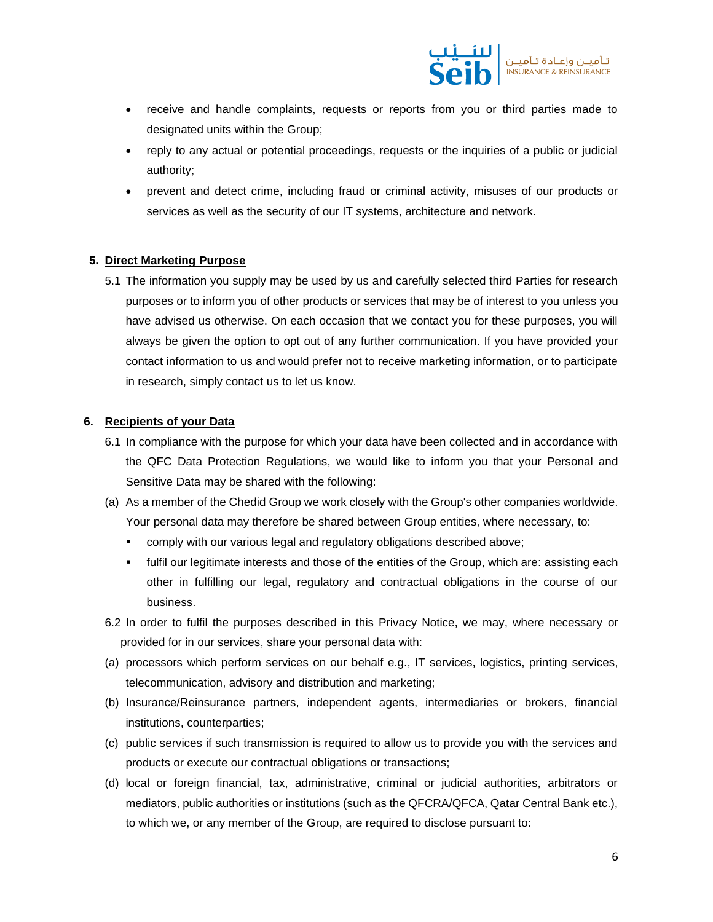

- receive and handle complaints, requests or reports from you or third parties made to designated units within the Group;
- reply to any actual or potential proceedings, requests or the inquiries of a public or judicial authority;
- prevent and detect crime, including fraud or criminal activity, misuses of our products or services as well as the security of our IT systems, architecture and network.

## **5. Direct Marketing Purpose**

5.1 The information you supply may be used by us and carefully selected third Parties for research purposes or to inform you of other products or services that may be of interest to you unless you have advised us otherwise. On each occasion that we contact you for these purposes, you will always be given the option to opt out of any further communication. If you have provided your contact information to us and would prefer not to receive marketing information, or to participate in research, simply contact us to let us know.

#### **6. Recipients of your Data**

- 6.1 In compliance with the purpose for which your data have been collected and in accordance with the QFC Data Protection Regulations, we would like to inform you that your Personal and Sensitive Data may be shared with the following:
- (a) As a member of the Chedid Group we work closely with the Group's other companies worldwide. Your personal data may therefore be shared between Group entities, where necessary, to:
	- comply with our various legal and regulatory obligations described above;
	- **•** fulfil our legitimate interests and those of the entities of the Group, which are: assisting each other in fulfilling our legal, regulatory and contractual obligations in the course of our business.
- 6.2 In order to fulfil the purposes described in this Privacy Notice, we may, where necessary or provided for in our services, share your personal data with:
- (a) processors which perform services on our behalf e.g., IT services, logistics, printing services, telecommunication, advisory and distribution and marketing;
- (b) Insurance/Reinsurance partners, independent agents, intermediaries or brokers, financial institutions, counterparties;
- (c) public services if such transmission is required to allow us to provide you with the services and products or execute our contractual obligations or transactions;
- (d) local or foreign financial, tax, administrative, criminal or judicial authorities, arbitrators or mediators, public authorities or institutions (such as the QFCRA/QFCA, Qatar Central Bank etc.), to which we, or any member of the Group, are required to disclose pursuant to: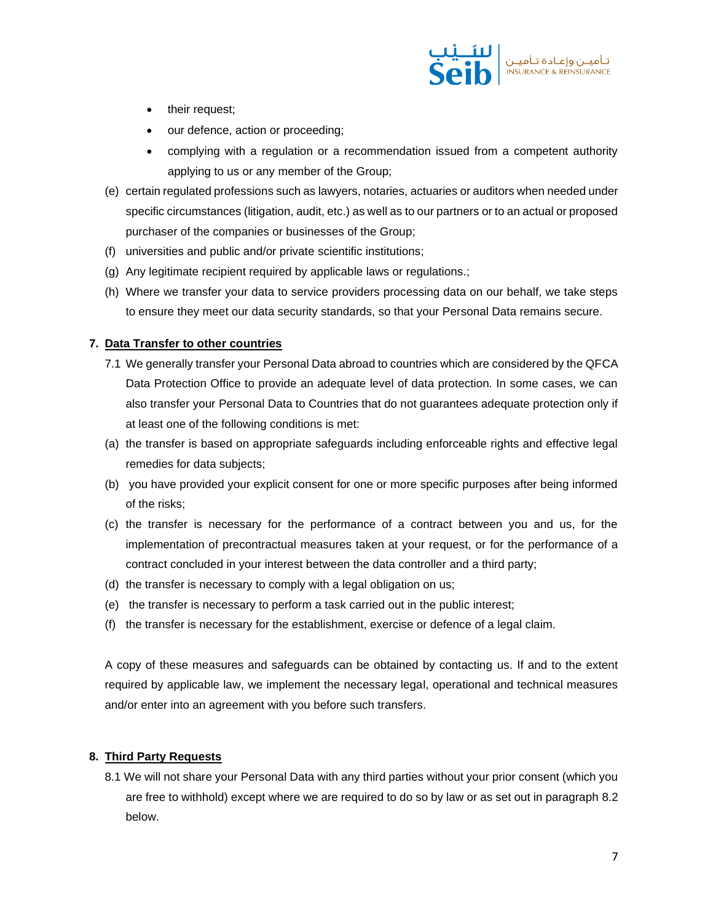

- their request;
- our defence, action or proceeding;
- complying with a regulation or a recommendation issued from a competent authority applying to us or any member of the Group;
- (e) certain regulated professions such as lawyers, notaries, actuaries or auditors when needed under specific circumstances (litigation, audit, etc.) as well as to our partners or to an actual or proposed purchaser of the companies or businesses of the Group;
- (f) universities and public and/or private scientific institutions;
- (g) Any legitimate recipient required by applicable laws or regulations.;
- (h) Where we transfer your data to service providers processing data on our behalf, we take steps to ensure they meet our data security standards, so that your Personal Data remains secure.

## **7. Data Transfer to other countries**

- 7.1 We generally transfer your Personal Data abroad to countries which are considered by the QFCA Data Protection Office to provide an adequate level of data protection. In some cases, we can also transfer your Personal Data to Countries that do not guarantees adequate protection only if at least one of the following conditions is met:
- (a) the transfer is based on appropriate safeguards including enforceable rights and effective legal remedies for data subjects;
- (b) you have provided your explicit consent for one or more specific purposes after being informed of the risks;
- (c) the transfer is necessary for the performance of a contract between you and us, for the implementation of precontractual measures taken at your request, or for the performance of a contract concluded in your interest between the data controller and a third party;
- (d) the transfer is necessary to comply with a legal obligation on us;
- (e) the transfer is necessary to perform a task carried out in the public interest;
- (f) the transfer is necessary for the establishment, exercise or defence of a legal claim.

A copy of these measures and safeguards can be obtained by contacting us. If and to the extent required by applicable law, we implement the necessary legal, operational and technical measures and/or enter into an agreement with you before such transfers.

#### **8. Third Party Requests**

8.1 We will not share your Personal Data with any third parties without your prior consent (which you are free to withhold) except where we are required to do so by law or as set out in paragraph 8.2 below.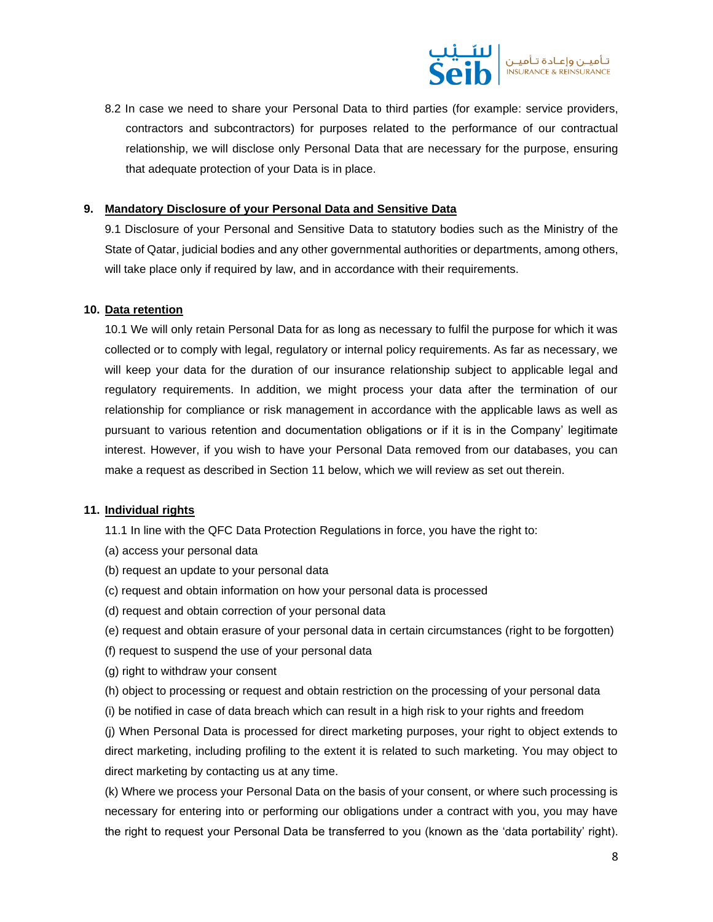

8.2 In case we need to share your Personal Data to third parties (for example: service providers, contractors and subcontractors) for purposes related to the performance of our contractual relationship, we will disclose only Personal Data that are necessary for the purpose, ensuring that adequate protection of your Data is in place.

#### **9. Mandatory Disclosure of your Personal Data and Sensitive Data**

9.1 Disclosure of your Personal and Sensitive Data to statutory bodies such as the Ministry of the State of Qatar, judicial bodies and any other governmental authorities or departments, among others, will take place only if required by law, and in accordance with their requirements.

#### **10. Data retention**

10.1 We will only retain Personal Data for as long as necessary to fulfil the purpose for which it was collected or to comply with legal, regulatory or internal policy requirements. As far as necessary, we will keep your data for the duration of our insurance relationship subject to applicable legal and regulatory requirements. In addition, we might process your data after the termination of our relationship for compliance or risk management in accordance with the applicable laws as well as pursuant to various retention and documentation obligations or if it is in the Company' legitimate interest. However, if you wish to have your Personal Data removed from our databases, you can make a request as described in Section 11 below, which we will review as set out therein.

#### **11. Individual rights**

11.1 In line with the QFC Data Protection Regulations in force, you have the right to:

- (a) access your personal data
- (b) request an update to your personal data
- (c) request and obtain information on how your personal data is processed
- (d) request and obtain correction of your personal data
- (e) request and obtain erasure of your personal data in certain circumstances (right to be forgotten)
- (f) request to suspend the use of your personal data
- (g) right to withdraw your consent
- (h) object to processing or request and obtain restriction on the processing of your personal data
- (i) be notified in case of data breach which can result in a high risk to your rights and freedom

(j) When Personal Data is processed for direct marketing purposes, your right to object extends to direct marketing, including profiling to the extent it is related to such marketing. You may object to direct marketing by contacting us at any time.

(k) Where we process your Personal Data on the basis of your consent, or where such processing is necessary for entering into or performing our obligations under a contract with you, you may have the right to request your Personal Data be transferred to you (known as the 'data portability' right).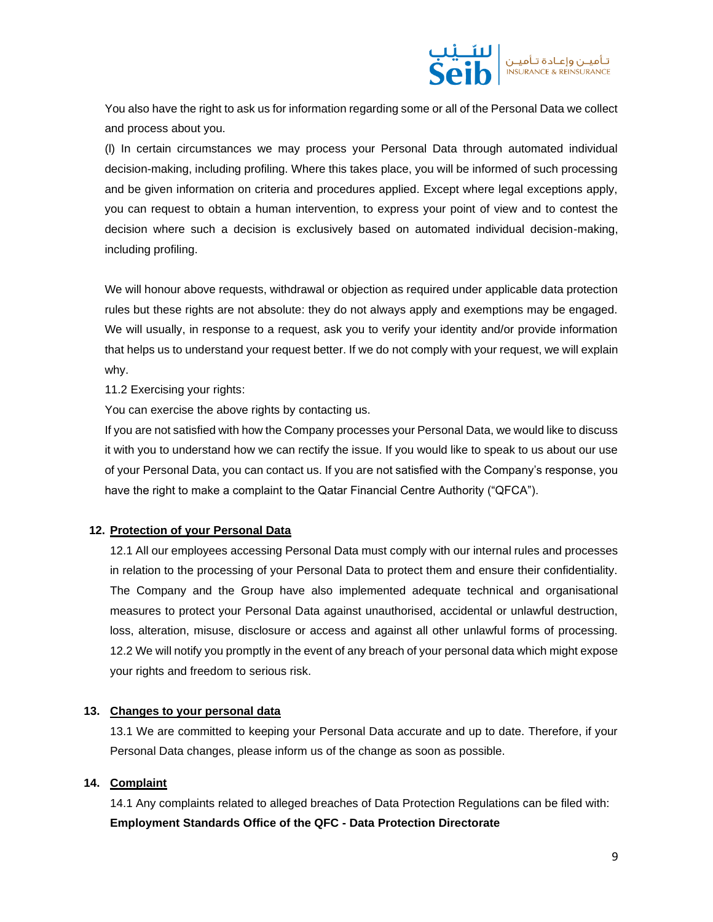

You also have the right to ask us for information regarding some or all of the Personal Data we collect and process about you.

(l) In certain circumstances we may process your Personal Data through automated individual decision-making, including profiling. Where this takes place, you will be informed of such processing and be given information on criteria and procedures applied. Except where legal exceptions apply, you can request to obtain a human intervention, to express your point of view and to contest the decision where such a decision is exclusively based on automated individual decision-making, including profiling.

We will honour above requests, withdrawal or objection as required under applicable data protection rules but these rights are not absolute: they do not always apply and exemptions may be engaged. We will usually, in response to a request, ask you to verify your identity and/or provide information that helps us to understand your request better. If we do not comply with your request, we will explain why.

11.2 Exercising your rights:

You can exercise the above rights by contacting us.

If you are not satisfied with how the Company processes your Personal Data, we would like to discuss it with you to understand how we can rectify the issue. If you would like to speak to us about our use of your Personal Data, you can contact us. If you are not satisfied with the Company's response, you have the right to make a complaint to the Qatar Financial Centre Authority ("QFCA").

## **12. Protection of your Personal Data**

12.1 All our employees accessing Personal Data must comply with our internal rules and processes in relation to the processing of your Personal Data to protect them and ensure their confidentiality. The Company and the Group have also implemented adequate technical and organisational measures to protect your Personal Data against unauthorised, accidental or unlawful destruction, loss, alteration, misuse, disclosure or access and against all other unlawful forms of processing. 12.2 We will notify you promptly in the event of any breach of your personal data which might expose your rights and freedom to serious risk.

#### **13. Changes to your personal data**

13.1 We are committed to keeping your Personal Data accurate and up to date. Therefore, if your Personal Data changes, please inform us of the change as soon as possible.

## **14. Complaint**

14.1 Any complaints related to alleged breaches of Data Protection Regulations can be filed with: **Employment Standards Office of the QFC - Data Protection Directorate**